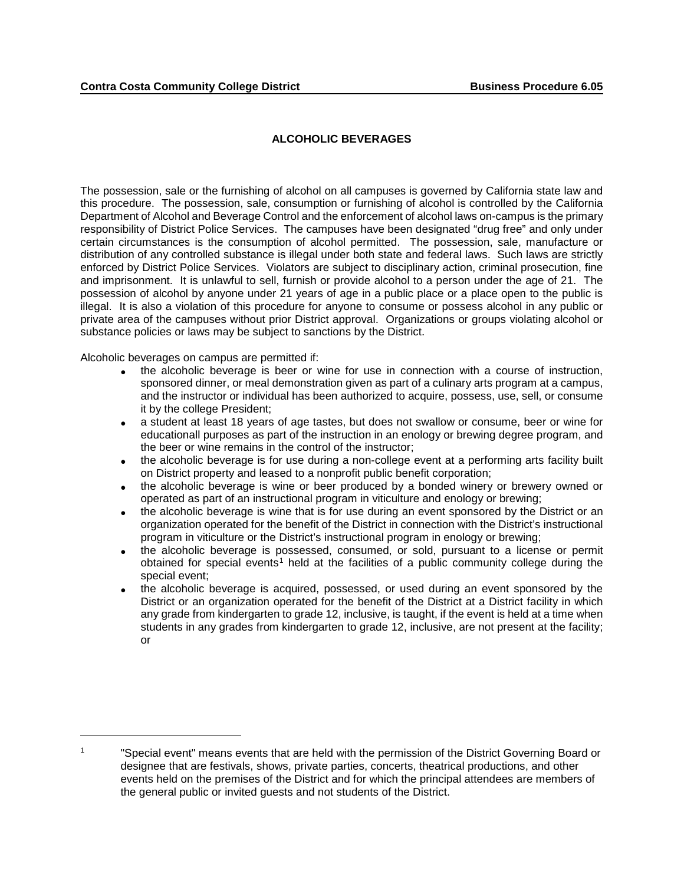## **ALCOHOLIC BEVERAGES**

The possession, sale or the furnishing of alcohol on all campuses is governed by California state law and this procedure. The possession, sale, consumption or furnishing of alcohol is controlled by the California Department of Alcohol and Beverage Control and the enforcement of alcohol laws on-campus is the primary responsibility of District Police Services. The campuses have been designated "drug free" and only under certain circumstances is the consumption of alcohol permitted. The possession, sale, manufacture or distribution of any controlled substance is illegal under both state and federal laws. Such laws are strictly enforced by District Police Services. Violators are subject to disciplinary action, criminal prosecution, fine and imprisonment. It is unlawful to sell, furnish or provide alcohol to a person under the age of 21. The possession of alcohol by anyone under 21 years of age in a public place or a place open to the public is illegal. It is also a violation of this procedure for anyone to consume or possess alcohol in any public or private area of the campuses without prior District approval. Organizations or groups violating alcohol or substance policies or laws may be subject to sanctions by the District.

Alcoholic beverages on campus are permitted if:

 $\overline{a}$ 

- the alcoholic beverage is beer or wine for use in connection with a course of instruction, sponsored dinner, or meal demonstration given as part of a culinary arts program at a campus, and the instructor or individual has been authorized to acquire, possess, use, sell, or consume it by the college President;
- a student at least 18 years of age tastes, but does not swallow or consume, beer or wine for educationall purposes as part of the instruction in an enology or brewing degree program, and the beer or wine remains in the control of the instructor;
- the alcoholic beverage is for use during a non-college event at a performing arts facility built on District property and leased to a nonprofit public benefit corporation;
- the alcoholic beverage is wine or beer produced by a bonded winery or brewery owned or operated as part of an instructional program in viticulture and enology or brewing;
- the alcoholic beverage is wine that is for use during an event sponsored by the District or an organization operated for the benefit of the District in connection with the District's instructional program in viticulture or the District's instructional program in enology or brewing;
- the alcoholic beverage is possessed, consumed, or sold, pursuant to a license or permit obtained for special events<sup>[1](#page-0-0)</sup> held at the facilities of a public community college during the special event;
- the alcoholic beverage is acquired, possessed, or used during an event sponsored by the District or an organization operated for the benefit of the District at a District facility in which any grade from kindergarten to grade 12, inclusive, is taught, if the event is held at a time when students in any grades from kindergarten to grade 12, inclusive, are not present at the facility; or

<span id="page-0-0"></span><sup>&</sup>lt;sup>1</sup> "Special event" means events that are held with the permission of the District Governing Board or designee that are festivals, shows, private parties, concerts, theatrical productions, and other events held on the premises of the District and for which the principal attendees are members of the general public or invited guests and not students of the District.